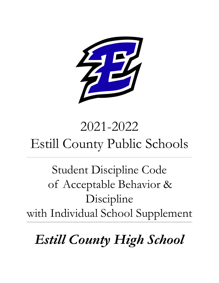

# 2021-2022 Estill County Public Schools

Student Discipline Code of Acceptable Behavior & Discipline with Individual School Supplement

*Estill County High School*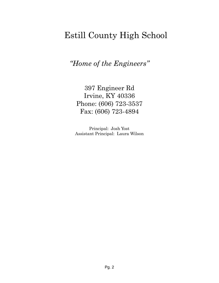# Estill County High School

*"Home of the Engineers "*

397 Engineer Rd Irvine, KY 40336 Phone: (606) 723-3537 Fax: (606) 723-4894

Principal: Josh Yost Assistant Principal: Laura Wilson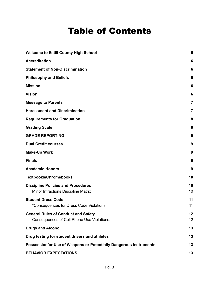# Table of Contents

| <b>Welcome to Estill County High School</b>                                              | 6        |
|------------------------------------------------------------------------------------------|----------|
| <b>Accreditation</b>                                                                     | 6        |
| <b>Statement of Non-Discrimination</b>                                                   | 6        |
| <b>Philosophy and Beliefs</b>                                                            | 6        |
| <b>Mission</b>                                                                           | 6        |
| <b>Vision</b>                                                                            | 6        |
| <b>Message to Parents</b>                                                                | 7        |
| <b>Harassment and Discrimination</b>                                                     | 7        |
| <b>Requirements for Graduation</b>                                                       | 8        |
| <b>Grading Scale</b>                                                                     | 8        |
| <b>GRADE REPORTING</b>                                                                   | 9        |
| <b>Dual Credit courses</b>                                                               | 9        |
| <b>Make-Up Work</b>                                                                      | 9        |
| <b>Finals</b>                                                                            | 9        |
| <b>Academic Honors</b>                                                                   | 9        |
| <b>Textbooks/Chromebooks</b>                                                             | 10       |
| <b>Discipline Policies and Procedures</b><br>Minor Infractions Discipline Matrix         | 10<br>10 |
| <b>Student Dress Code</b><br>*Consequences for Dress Code Violations                     | 11<br>11 |
| <b>General Rules of Conduct and Safety</b><br>Consequences of Cell Phone Use Violations: | 12<br>12 |
| <b>Drugs and Alcohol</b>                                                                 | 13       |
| Drug testing for student drivers and athletes                                            | 13       |
| Possession/or Use of Weapons or Potentially Dangerous Instruments                        | 13       |
| <b>BEHAVIOR EXPECTATIONS</b>                                                             | 13       |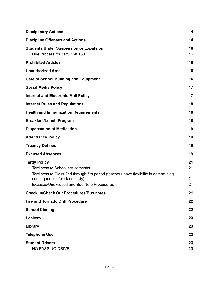| <b>Disciplinary Actions</b>                                                                                                                                                                                                  | 14                   |
|------------------------------------------------------------------------------------------------------------------------------------------------------------------------------------------------------------------------------|----------------------|
| <b>Discipline Offenses and Actions</b>                                                                                                                                                                                       | 14                   |
| <b>Students Under Suspension or Expulsion</b><br>Due Process for KRS 158.150                                                                                                                                                 | 16<br>16             |
| <b>Prohibited Articles</b>                                                                                                                                                                                                   | 16                   |
| <b>Unauthorized Areas</b>                                                                                                                                                                                                    | 16                   |
| <b>Care of School Building and Equipment</b>                                                                                                                                                                                 | 16                   |
| <b>Social Media Policy</b>                                                                                                                                                                                                   | 17                   |
| <b>Internet and Electronic Mail Policy</b>                                                                                                                                                                                   | 17                   |
| <b>Internet Rules and Regulations</b>                                                                                                                                                                                        | 18                   |
| <b>Health and Immunization Requirements</b>                                                                                                                                                                                  | 18                   |
| <b>Breakfast/Lunch Program</b>                                                                                                                                                                                               | 18                   |
| <b>Dispensation of Medication</b>                                                                                                                                                                                            | 19                   |
| <b>Attendance Policy</b>                                                                                                                                                                                                     | 19                   |
| <b>Truancy Defined</b>                                                                                                                                                                                                       | 19                   |
| <b>Excused Absences</b>                                                                                                                                                                                                      | 19                   |
| <b>Tardy Policy</b><br>Tardiness to School per semester<br>Tardiness to Class 2nd through 5th period (teachers have flexibility in determining<br>consequences for class tardy)<br>Excuses/Unexcused and Bus Note Procedures | 21<br>21<br>21<br>21 |
| <b>Check In/Check Out Procedures/Bus notes</b>                                                                                                                                                                               | 21                   |
| <b>Fire and Tornado Drill Procedure</b>                                                                                                                                                                                      |                      |
|                                                                                                                                                                                                                              | 22                   |
| <b>School Closing</b>                                                                                                                                                                                                        | 22                   |
| <b>Lockers</b>                                                                                                                                                                                                               | 23                   |
| Library                                                                                                                                                                                                                      | 23                   |
| <b>Telephone Use</b>                                                                                                                                                                                                         | 23                   |
| <b>Student Drivers</b><br>NO PASS NO DRIVE                                                                                                                                                                                   | 23<br>23             |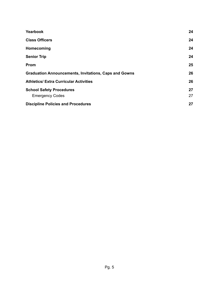| Yearbook                                                     | 24       |
|--------------------------------------------------------------|----------|
| <b>Class Officers</b>                                        | 24       |
| Homecoming                                                   | 24       |
| <b>Senior Trip</b>                                           | 24       |
| Prom                                                         | 25       |
| <b>Graduation Announcements, Invitations, Caps and Gowns</b> | 26       |
| <b>Athletics/ Extra Curricular Activities</b>                | 26       |
| <b>School Safety Procedures</b><br><b>Emergency Codes</b>    | 27<br>27 |
| <b>Discipline Policies and Procedures</b>                    | 27       |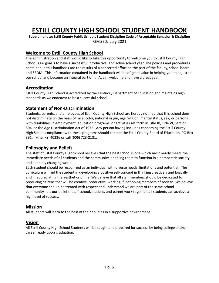# **ESTILL COUNTY HIGH SCHOOL STUDENT HANDBOOK**

**Supplement to: Estill County Public Schools Student Discipline Code of Acceptable Behavior & Discipline** REVISED: July 2021

#### <span id="page-5-0"></span>**Welcome to Estill County High School**

The administration and staff would like to take this opportunity to welcome you to Estill County High School. Our goal is to have a successful, productive, and active school year. The policies and procedures contained in this handbook are the results of a concerted effort on the part of the faculty, school board, and SBDM. This information contained in the handbook will be of great value in helping you to adjust to our school and become an integral part of it. Again, welcome and have a great year.

#### <span id="page-5-1"></span>**Accreditation**

Estill County High School is accredited by the Kentucky Department of Education and maintains high standards as we endeavor to be a successful school.

#### <span id="page-5-2"></span>**Statement of Non-Discrimination**

Students, parents, and employees of Estill County High School are hereby notified that this school does not discriminate on the basis of race, color, national origin, age religion, marital status, sex, or persons with disabilities in employment, education programs, or activities set forth in Title IX, Title VI, Section 504, or the Age Discrimination Act of 1975. Any person having inquiries concerning the Estill County High School compliance with these programs should contact the Estill County Board of Education, PO Box 391, Irvine, KY 40336 or call (606) 723-2181.

#### <span id="page-5-3"></span>**Philosophy and Beliefs**

The staff of Estill County High School believes that the best school is one which most nearly meets the immediate needs of all students and the community, enabling them to function in a democratic society and a rapidly changing world.

Each student should be recognized as an individual with diverse needs, limitations and potential. The curriculum will aid the student in developing a positive self-concept in thinking creatively and logically, and in appreciating the aesthetics of life. We believe that all staff members should be dedicated to producing citizens that will be creative, productive, working, functioning members of society. We believe that everyone should be treated with respect and understand we are part of the same school community. It is our belief that, if school, student, and parent work together, all students can achieve a high level of success.

#### <span id="page-5-4"></span>**Mission**

All students will learn to the best of their abilities in a supportive environment.

#### <span id="page-5-5"></span>**Vision**

All Estill County High School Students will be taught and prepared for success by being college and/or career ready upon graduation.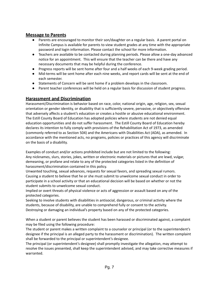#### <span id="page-6-0"></span>**Message to Parents**

- Parents are encouraged to monitor their son/daughter on a regular basis. A parent portal on Infinite Campus is available for parents to view student grades at any time with the appropriate password and login information. Please contact the school for more information.
- Teachers are available to be contacted during planning periods. Please allow a one-day advanced notice for an appointment. This will ensure that the teacher can be there and have any necessary documents that may be helpful during the conference.
- Progress reports will be sent home after four and a half weeks of each 9-week grading period.
- Mid-terms will be sent home after each nine weeks, and report cards will be sent at the end of each semester.
- Statements of Concern will be sent home if a problem develops in the classroom.
- Parent teacher conferences will be held on a regular basis for discussion of student progress.

#### <span id="page-6-1"></span>**Harassment and Discrimination**

Harassment/Discrimination is behavior based on race, color, national origin, age, religion, sex, sexual orientation or gender identity, or disability that is sufficiently severe, pervasive, or objectively offensive that adversely affects a student's education or creates a hostile or abusive educational environment. The Estill County Board of Education has adopted policies where students are not denied equal education opportunities and do not suffer harassment. The Estill County Board of Education hereby declares its intention to fully comply with provisions of the Rehabilitation Act of 1973, as amended (commonly referred to as Section 504) and the Americans with Disabilities Act (ADA), as amended. In accordance with the mentioned acts, no programs, policies or practices of this agency will discriminate on the basis of a disability.

Examples of conduct and/or actions prohibited include but are not limited to the following: Any nicknames, slurs, stories, jokes, written or electronic materials or pictures that are lewd, vulgar, demeaning, or profane and relate to any of the protected categories listed in the definition of harassment/discrimination contained in this policy.

Unwanted touching, sexual advances, requests for sexual favors, and spreading sexual rumors. Causing a student to believe that he or she must submit to unwelcome sexual conduct in order to participate in a school activity or that an educational decision will be based on whether or not the student submits to unwelcome sexual conduct.

Implied or overt threats of physical violence or acts of aggression or assault based on any of the protected categories.

Seeking to involve students with disabilities in antisocial, dangerous, or criminal activity where the students, because of disability, are unable to comprehend fully or consent to the activity. Destroying or damaging an individual's property based on any of the protected categories.

When a student or parent believes the student has been harassed or discriminated against, a complaint may be filed using the following procedure:

The student or parent makes a written complaint to a counselor or principal (or to the superintendent's designee if the principal is an alleged party to the harassment or discrimination). The written complaint shall be forwarded to the principal or superintendent's designee.

The principal (or superintendent's designee) shall promptly investigate the allegation, may attempt to resolve the issues presented, shall keep the superintendent advised, and may take corrective measures if warranted.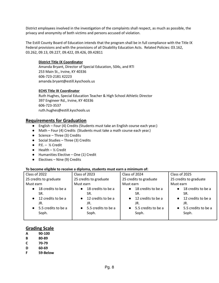District employees involved in the investigation of the complaints shall respect, as much as possible, the privacy and anonymity of both victims and persons accused of violation.

The Estill County Board of Education intends that the program shall be in full compliance with the Title IX Federal provisions and with the provisions of all Disability Education Acts. Related Policies: 03.162, 03.262, 09.13, 09.227, 09.422, 09.426, 09.42811

#### **District Title IX Coordinator**

Amanda Bryant, Director of Special Education, 504s, and RTI 253 Main St., Irvine, KY 40336 606-723-2181 X2223 amanda.bryant@estill.kyschools.us

#### **ECHS Title IX Coordinator**

Ruth Hughes, Special Education Teacher & High School Athletic Director 397 Engineer Rd., Irvine, KY 40336 606-723-3537 ruth.hughes@estill.kyschools.us

#### <span id="page-7-0"></span>**Requirements for Graduation**

- English Four (4) Credits (Students must take an English course each year.)
- Math Four (4) Credits (Students must take a math course each year.)
- Science Three (3) Credits
- Social Studies Three (3) Credits
- $\bullet$  P.E.  $\frac{1}{2}$  Credit
- $\bullet$  Health ½ Credit
- Humanities Elective One (1) Credit
- $\bullet$  Electives Nine (9) Credits

#### **To become eligible to receive a diploma, students must earn a minimum of:**

| Class of 2022                   | Class of 2023                    | Class of 2024                   | Class of 2025                   |
|---------------------------------|----------------------------------|---------------------------------|---------------------------------|
| 25 credits to graduate          | 25 credits to graduate           | 25 credits to graduate          | 25 credits to graduate          |
| Must earn                       | Must earn                        | Must earn                       | Must earn                       |
| 18 credits to be a<br>$\bullet$ | 18 credits to be a<br>$\bullet$  | 18 credits to be a<br>$\bullet$ | 18 credits to be a<br>$\bullet$ |
| SR.                             | SR.                              | SR.                             | SR.                             |
| $\bullet$ 12 credits to be a    | 12 credits to be a<br>$\bullet$  | 12 credits to be a<br>$\bullet$ | $\bullet$ 12 credits to be a    |
| JR.                             | JR.                              | JR.                             | JR.                             |
| $\bullet$ 5.5 credits to be a   | 5.5 credits to be a<br>$\bullet$ | 5.5 credits to be a             | $\bullet$ 5.5 credits to be a   |
| Soph.                           | Soph.                            | Soph.                           | Soph.                           |
|                                 |                                  |                                 |                                 |

#### <span id="page-7-1"></span>**Grading Scale**

- **A 90-100**
- **B 80-89**
- **C 70-79**
- **D 60-69**
- **F 59-Below**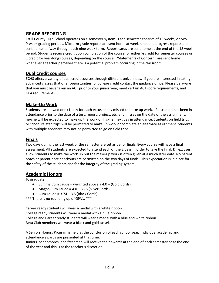# <span id="page-8-0"></span>**GRADE REPORTING**

Estill County High School operates on a semester system. Each semester consists of 18 weeks, or two 9-week grading periods. Midterm grade reports are sent home at week nine, and progress reports are sent home halfway through each nine week term. Report cards are sent home at the end of the 18 week period. Students receive credit upon completion of the course for either ½ credit for semester courses or 1 credit for year-long courses, depending on the course. "Statements of Concern'' are sent home whenever a teacher perceives there is a potential problem occurring in the classroom.

#### <span id="page-8-1"></span>**Dual Credit courses**

ECHS offers a variety of dual credit courses through different universities. If you are interested in taking advanced classes that offer opportunities for college credit contact the guidance office. Please be aware that you must have taken an ACT prior to your junior year, meet certain ACT score requirements, and GPA requirements.

#### <span id="page-8-2"></span>**Make-Up Work**

Students are allowed one (1) day for each excused day missed to make up work. If a student has been in attendance prior to the date of a test, report, project, etc. and misses on the date of the assignment, he/she will be expected to make up the work on his/her next day in attendance. Students on field trips or school related trips will be permitted to make up work or complete an alternate assignment. Students with multiple absences may not be permitted to go on field trips.

#### <span id="page-8-3"></span>**Finals**

Two days during the last week of the semester are set aside for finals. Every course will have a final assessment. All students are expected to attend each of the 2 days in order to take the final. Dr. excuses allow students to make the work up but the make-up work is often given at a much later date. No parent notes or parent-note checkouts are permitted on the two days of finals. This expectation is in place for the safety of the students and for the integrity of the grading system.

#### <span id="page-8-4"></span>**Academic Honors**

To graduate

- Summa Cum Laude = weighted above a  $4.0 + (Gold Cords)$
- $\bullet$  Magna Cum Laude = 4.0 3.75 (Silver Cords)
- $\bullet$  Cum Laude = 3.74 3.5 (Black Cords)

\*\*\* There is no rounding up of GPA's. \*\*\*

Career ready students will wear a medal with a white ribbon College ready students will wear a medal with a blue ribbon College and Career ready students will wear a medal with a blue and white ribbon. Beta Club members will wear a black and gold tassel.

A Seniors Honors Program is held at the conclusion of each school year. Individual academic and attendance awards are presented at that time.

Juniors, sophomores, and freshmen will receive their awards at the end of each semester or at the end of the year and this is at the teacher's discretion.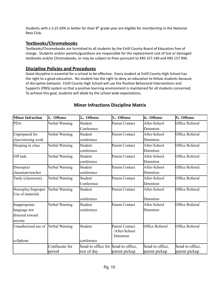Students with a 3.25 GPA or better for their  $8<sup>th</sup>$  grade year are eligible for membership in the National Beta Club.

#### <span id="page-9-0"></span>**Textbooks/Chromebooks**

Textbooks/Chromebooks are furnished to all students by the Estill County Board of Education free of charge. Students and/or parents/guardians are responsible for the replacement cost of lost or damaged textbooks and/or Chromebooks, or may be subject to fines pursuant to KRS 157.140 and KRS 157.990.

#### <span id="page-9-1"></span>**Discipline Policies and Procedures**

Good discipline is essential for a school to be effective. Every student at Estill County High School has the right to a good education. No student has the right to deny an education to fellow students because of disruptive behavior. Estill County High School will use the Positive Behavioral Interventions and Supports (PBIS) system so that a positive learning environment is maintained for all students concerned. To achieve this goal, students will abide by the school wide expectations.

<span id="page-9-2"></span>

| <b>Minor Infraction</b>                | 1 <sub>st</sub> Offense | 2 <sub>nd</sub> Offense            | 3rd Offense                                                     | 4th Offense     | $5th$ Offense   |  |
|----------------------------------------|-------------------------|------------------------------------|-----------------------------------------------------------------|-----------------|-----------------|--|
| <b>PDA</b>                             | Verbal Warning          | Student                            | <b>Parent Contact</b>                                           | After-School    | Office Referral |  |
|                                        |                         | Conference                         |                                                                 | Detention       |                 |  |
| Unprepared for                         | Verbal Warning          | Student                            | Parent Contact                                                  | After-School    | Office Referral |  |
| class/missing work                     |                         | conference                         |                                                                 | Detention       |                 |  |
| Sleeping in class                      | Verbal Warning          | Student                            | Parent Contact                                                  | After-School    | Office Referral |  |
|                                        |                         | conference                         |                                                                 | Detention       |                 |  |
| Off-task                               | Verbal Warning          | Student                            | Parent Contact                                                  | After-School    | Office Referral |  |
|                                        |                         | conference                         |                                                                 | Detention       |                 |  |
| Disrespect                             | Verbal Warning          | Student                            | Parent Contact                                                  | After-School    | Office Referral |  |
| classmate/teacher                      |                         | conference                         |                                                                 | Detention       |                 |  |
| Tardy (classroom)                      | Verbal Warning          | Student                            | Parent Contact                                                  | After-School    | Office Referral |  |
|                                        |                         | Conference                         |                                                                 | Detention       |                 |  |
| Horseplay/Improper<br>Use of materials | Verbal Warning          | Student                            | Parent Contact                                                  | After-School    | Office Referral |  |
|                                        |                         | conference                         |                                                                 | Detention       |                 |  |
| Inappropriate                          | Verbal Warning          | Student                            | Parent Contact                                                  | After-School    | Office Referral |  |
| language not                           | conference              |                                    |                                                                 | Detention       |                 |  |
| directed toward                        |                         |                                    |                                                                 |                 |                 |  |
| anyone                                 |                         |                                    |                                                                 |                 |                 |  |
| Unauthorized use of                    | Verbal Warning          | Student                            | Parent Contact<br>Office Referral<br>/After-School<br>Detention |                 | Office Referral |  |
| cellphone                              |                         | conference                         |                                                                 |                 |                 |  |
|                                        | Confiscate for          | Send to office for Send to office, |                                                                 | Send to office, | Send to office, |  |
|                                        | period                  | rest of day                        | parent pickup                                                   | parent pickup   | parent pickup   |  |

# **Minor Infractions Discipline Matrix**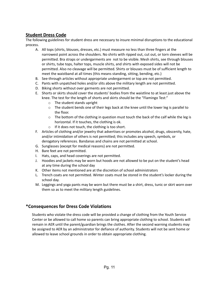# <span id="page-10-0"></span>**Student Dress Code**

The following guidelines for student dress are necessary to insure minimal disruptions to the educational process.

- A. All tops (shirts, blouses, dresses, etc.) must measure no less than three fingers at the narrowest point across the shoulders. No shirts with ripped out, cut out, or torn sleeves will be permitted. Bra straps or undergarments are not to be visible. Mesh shirts, see through blouses or shirts, tube tops, halter tops, muscle shirts, and shirts with exposed sides will not be permitted. Also no cleavage will be permitted. Shirts or blouses must be of sufficient length to meet the waistband at all times (this means standing, sitting, bending, etc.)
- B. See-through articles without appropriate undergarment or top are not permitted.
- C. Pants with unpatched holes and/or slits above the military length are not permitted.
- D. Biking shorts without over garments are not permitted.
- E. Shorts or skirts should cover the students' bodies from the waistline to at least just above the knee. The test for the length of shorts and skirts should be the "Flamingo Test:"
	- o The student stands upright
	- $\circ$  The student bends one of their legs back at the knee until the lower leg is parallel to the floor.
	- $\circ$  The bottom of the clothing in question must touch the back of the calf while the leg is horizontal. If it touches, the clothing is ok.
	- o If it does not touch, the clothing is too short.
- F. Articles of clothing and/or jewelry that advertises or promotes alcohol, drugs, obscenity, hate, and/or intimidation of others is not permitted; this includes any speech, symbols, or derogatory references. Bandanas and chains are not permitted at school.
- G. Sunglasses (except for medical reasons) are not permitted.
- H. Bare feet are not permitted.
- I. Hats, caps, and head coverings are not permitted.
- J. Hoodies and jackets may be worn but hoods are not allowed to be put on the student's head at any time during the school day
- K. Other items not mentioned are at the discretion of school administrators
- L. Trench coats are not permitted. Winter coats must be stored in the student's locker during the school day.
- M. Leggings and yoga pants may be worn but there must be a shirt, dress, tunic or skirt worn over them so as to meet the military length guidelines.

# <span id="page-10-1"></span>**\*Consequences for Dress Code Violations**

Students who violate the dress code will be provided a change of clothing from the Youth Service Center or be allowed to call home so parents can bring appropriate clothing to school. Students will remain in AER until the parent/guardian brings the clothes. After the second warning students may be assigned to AER by an administrator for defiance of authority. Students will not be sent home or allowed to leave school grounds in order to obtain appropriate clothing.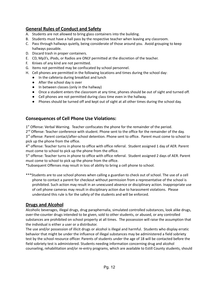# <span id="page-11-0"></span>**General Rules of Conduct and Safety**

- A. Students are not allowed to bring glass containers into the building.
- B. Students must have a hall pass by the respective teacher when leaving any classroom.
- C. Pass through hallways quietly, being considerate of those around you. Avoid grouping to keep hallways passable.
- D. Discard trash in proper containers.
- E. CD, Mp3's, iPods, or Radios are ONLY permitted at the discretion of the teacher.
- F. Knives of any kind are not permitted.
- G. Items not permitted may be confiscated by school personnel.
- H. Cell phones are permitted in the following locations and times during the school day:
	- In the cafeteria during breakfast and lunch
	- After the school day is over
	- In between classes (only in the hallway)
	- Once a student enters the classroom at any time, phones should be out of sight and turned off.
	- Cell phones are not permitted during class time even in the hallway.
	- Phones should be turned off and kept out of sight at all other times during the school day.

#### <span id="page-11-1"></span>**Consequences of Cell Phone Use Violations:**

1<sup>st</sup> Offense: Verbal Warning. Teacher confiscates the phone for the remainder of the period.

2<sup>nd</sup> Offense: Teacher conference with student. Phone sent to the office for the remainder of the day.

3<sup>rd</sup> offense: Parent contact/after-school detention. Phone sent to office. Parent must come to school to pick up the phone from the office.

4<sup>th</sup> offense: Teacher turns in phone to office with office referral. Student assigned 1 day of AER. Parent must come to school to pick up the phone from the office.

5<sup>th</sup> offense: Teacher turns in phone to office with office referral. Student assigned 2 days of AER. Parent must come to school to pick up the phone from the office.

\*Subsequent Offenses may result in loss of ability to bring a cell phone to school.

\*\*\*Students are to use school phones when calling a guardian to check out of school. The use of a cell phone to contact a parent for checkout without permission from a representative of the school is prohibited. Such action may result in an unexcused absence or disciplinary action. Inappropriate use of cell phone cameras may result in disciplinary action due to harassment violations. Please understand this rule is for the safety of the students and will be enforced.

#### <span id="page-11-2"></span>**Drugs and Alcohol**

Alcoholic beverages, illegal drugs, drug paraphernalia, simulated controlled substances, look alike drugs, over-the-counter drugs intended to be given, sold to other students, or abused, or any controlled substances are prohibited on school property at all times. The possession will raise the assumption that the individual is either a user or a distributor.

The use and/or possession of illicit drugs or alcohol is illegal and harmful. Students who display erratic behavior that might be under the influence of illegal substances may be administered a field sobriety test by the school resource officer. Parents of students under the age of 18 will be contacted before the field sobriety test is administered. Students needing information concerning drug and alcohol counseling, rehabilitation and/or re-entry programs, which are available to Estill County students, should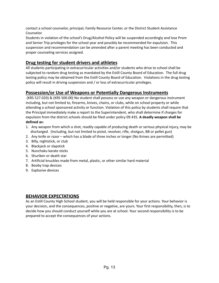contact a school counselor, principal, Family Resource Center, or the District Student Assistance Counselor.

Students in violation of the school's Drug/Alcohol Policy will be suspended accordingly and lose Prom and Senior Trip privileges for the school year and possibly be recommended for expulsion. This suspension and recommendation can be amended after a parent meeting has been conducted and proper counseling services assigned.

# <span id="page-12-0"></span>**Drug testing for student drivers and athletes**

All students participating in extracurricular activities and/or students who drive to school shall be subjected to random drug testing as mandated by the Estill County Board of Education. The full drug testing policy may be obtained from the Estill County Board of Education. Violations in the drug testing policy will result in driving suspension and / or loss of extracurricular privileges.

# <span id="page-12-1"></span>**Possession/or Use of Weapons or Potentially Dangerous Instruments**

(KRS 527.020) & (KRS 500.00) No student shall possess or use any weapon or dangerous instrument including, but not limited to, firearms, knives, chains, or clubs, while on school property or while attending a school sponsored activity or function. Violation of this policy by students shall require that the Principal immediately make a report to the Superintendent, who shall determine if charges for expulsion from the district schools should be filed under policy 09.435. **A deadly weapon shall be defined as:**

- 1. Any weapon from which a shot, readily capable of producing death or serious physical injury, may be discharged. (Including, but not limited to pistol, revolver, rifle, shotgun, BB or pellet gun)
- 2. Any knife or razor which has a blade of three inches or longer (No Knives are permitted)
- 3. Billy, nightstick, or club
- 4. Blackjack or slapstick
- 5. Nunchaku karate sticks
- 6. Shuriken or death star
- 7. Artificial knuckles made from metal, plastic, or other similar hard material
- 8. Booby trap devices
- 9. Explosive devices

#### <span id="page-12-2"></span>**BEHAVIOR EXPECTATIONS**

As an Estill County High School student, you will be held responsible for your actions. Your behavior is your decision, and the consequences, positive or negative, are yours. Your first responsibility, then, is to decide how you should conduct yourself while you are at school. Your second responsibility is to be prepared to accept the consequences of your actions.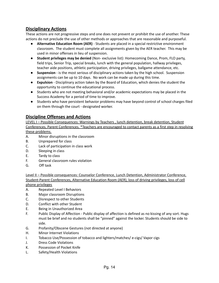#### <span id="page-13-0"></span>**Disciplinary Actions**

These actions are not progressive steps and one does not prevent or prohibit the use of another. These actions do not preclude the use of other methods or approaches that are reasonable and purposeful.

- **Alternative Education Room (AER)** Students are placed in a special restrictive environment classroom. The student must complete all assignments given by the AER teacher. This may be used in minor offenses in lieu of suspension.
- **Student privileges may be denied** (Non- exclusive list): Homecoming Dance, Prom, FLO party, field trips, Senior Trip, special breaks, lunch with the general population, hallway privileges, teacher aide positions, athletic participation, driving privileges, ballgame attendance, etc.
- **Suspension** is the most serious of disciplinary actions taken by the high school. Suspension assignments can be up to 10 days. No work can be made up during this time.
- **Expulsion** Disciplinary action taken by the Board of Education, which denies the student the opportunity to continue the educational process.
- Students who are not meeting behavioral and/or academic expectations may be placed in the Success Academy for a period of time to improve.
- Students who have persistent behavior problems may have beyond control of school charges filed on them through the court - designated worker.

#### <span id="page-13-1"></span>**Discipline Offenses and Actions**

LEVEL I - Possible Consequences: Warnings by Teachers, lunch detention, break detention, Student Conferences, Parent Conferences. \*Teachers are encouraged to contact parents as a first step in resolving these problems.

- A. Minor disruptions in the classroom
- B. Unprepared for class
- C. Lack of participation in class work
- D. Sleeping in class
- E. Tardy to class
- F. General classroom rules violation
- G. Off task

Level II – Possible consequences: Counselor Conference, Lunch Detention, Administrator Conference, Student-Parent Conferences, Alternative Education Room (AER), loss of driving privileges, loss of cell phone privileges

- A. Repeated Level I Behaviors
- B. Major classroom Disruptions
- C. Disrespect to other Students
- D. Conflict with other Student
- E. Being in Unauthorized Area
- F. Public Display of Affection Public display of affection is defined as no kissing of any sort. Hugs must be brief and no students shall be "pinned" against the locker. Students should be side to side.
- G. Profanity/Obscene Gestures (not directed at anyone)
- H. Minor Internet Violations
- I. Tobacco Use/Possession of tobacco and lighters/matches/ e-cigs/ Vapor cigs
- J. Dress Code Violations
- K. Possession of Pocket Knife
- L. Safety/Health Violations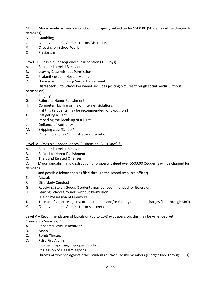M. Minor vandalism and destruction of property valued under \$500.00 (Students will be charged for damages)

- N. Gambling
- O. Other violations -Administrators Discretion
- P. Cheating on School Work
- Q. Plagiarism

#### Level III – Possible Consequences: Suspension (1-5 Days)

- A. Repeated Level II Behaviors
- B. Leaving Class without Permission\*
- C. Profanity used in Hostile Manner
- D. Harassment (including Sexual Harassment)
- E. Disrespectful to School Personnel (includes posting pictures through social media without permission)
- F. Forgery
- G. Failure to Honor Punishment
- H. Computer Hacking or major internet violations
- I. Fighting (Students may be recommended for Expulsion.)
- J. Instigating a Fight
- K. Impeding the Break-up of a Fight
- L. Defiance of Authority
- M. Skipping class/School\*
- N. Other violations -Administrator's discretion

#### Level IV – Possible Consequences: Suspension (3-10 Days) \*\*

- A. Repeated Level III Behaviors
- B. Refusal to Honor Punishment
- C. Theft and Related Offenses
- D. Major vandalism and destruction of property valued over \$500.00 (Students will be charged for

damages

and possible felony charges filed through the school resource officer)

- E. Assault
- F. Disorderly Conduct
- G. Receiving Stolen Goods (Students may be recommended for Expulsion.)
- H. Leaving School Grounds without Permission
- I. Use or Possession of Fireworks
- J. Threats of violence against other students and/or Faculty members (charges filed through SRO)
- K. Other violations -Administrator's discretion

#### Level V – Recommendation of Expulsion (up to 10-Day Suspension, this may be Amended with

#### Counseling Services) \*\*

- A. Repeated Level IV Behavior
- B. Arson
- C. Bomb Threats
- D. False Fire Alarm
- E. Indecent Exposure/Improper Conduct
- F. Possession of Illegal Weapons
- G. Threats of violence against other students and/or Faculty members (charges filed through SRO)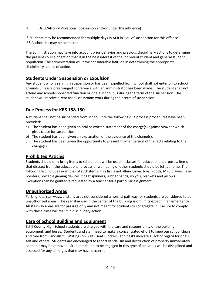H. Drug/Alcohol Violations (possession and/or under the influence)

\* Students may be recommended for multiple days in AER in Lieu of suspension for this offense

\*\* Authorities may be contacted.

The administration may take into account prior behavior and previous disciplinary actions to determine the present course of action that is in the best interest of the individual student and general student population. The administration will have considerable latitude in determining the appropriate disciplinary course of action.

#### <span id="page-15-0"></span>**Students Under Suspension or Expulsion**

Any student who is serving a suspension or has been expelled from school shall not enter on to school grounds unless a prearranged conference with an administrator has been made. The student shall not attend any school-sponsored function or ride a school bus during the term of the suspension. The student will receive a zero for all classroom work during their term of suspension.

# <span id="page-15-1"></span>**Due Process for KRS 158.150**

A student shall not be suspended from school until the following due process procedures have been provided:

- a) The student has been given an oral or written statement of the charge(s) against him/her which gives cause for suspension.
- b) The student has been given an explanation of the evidence of the charge(s).
- c) The student has been given the opportunity to present his/her version of the facts relating to the charge(s).

# <span id="page-15-2"></span>**Prohibited Articles**

Students should only bring items to school that will be used in classes for educational purposes. Items that distract from the educational process or well-being of other students should be left at home. The following list includes examples of such items. This list is not all-inclusive: toys, I-pods, MP3 players, laser pointers, portable gaming devices, fidget spinners, rubber bands, yo yo's, blankets and pillows. Exceptions can be granted if requested by a teacher for a particular assignment.

#### <span id="page-15-3"></span>**Unauthorized Areas**

Parking lots, stairways, and any area not considered a normal pathway for students are considered to be unauthorized areas. The rear stairway in the center of the building is off limits except in an emergency. All stairway areas are for passage only and not meant for students to congregate in. Failure to comply with these rules will result in disciplinary action.

# <span id="page-15-4"></span>**Care of School Building and Equipment**

Estill County High School students are charged with the care and responsibility of the building, equipment, and buses. Students and staff need to make a concentrated effort to keep our school clean and free from vandalism. Writings on walls, seats, lockers, and desks indicate a lack of regard for one's self and others. Students are encouraged to report vandalism and destruction of property immediately so that it may be removed. Students found to be engaged in this type of activities will be disciplined and assessed for any damages that may have occurred.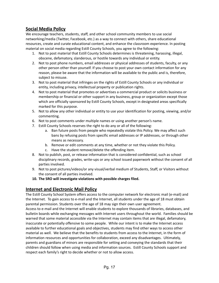# <span id="page-16-0"></span>**Social Media Policy**

We encourage teachers, students, staff, and other school community members to use social networking/media (Twitter, Facebook, etc.) as a way to connect with others, share educational resources, create and curate educational content, and enhance the classroom experience. In posting material on social media regarding Estill County Schools, you agree to the following:

- 1. Not to post material that Estill County Schools determines is threatening, harassing, illegal, obscene, defamatory, slanderous, or hostile towards any individual or entity.
- 2. Not to post phone numbers, email addresses or physical addresses of students, faculty, or any other person other than yourself. If you choose to post your own contact information for any reason, please be aware that the information will be available to the public and is, therefore, subject to misuse.
- 3. Not to post material that infringes on the rights of Estill County Schools or any individual or entity, including privacy, intellectual property or publication rights.
- 4. Not to post material that promotes or advertises a commercial product or solicits business or membership or financial or other support in any business, group or organization except those which are officially sponsored by Estill County Schools, except in designated areas specifically marked for this purpose.
- 5. Not to allow any other individual or entity to use your identification for posting, viewing, and/or commenting.
- 6. Not to post comments under multiple names or using another person's name.
- 7. Estill County Schools reserves the right to do any or all of the following:
	- a. Ban future posts from people who repeatedly violate this Policy. We may affect such bans by refusing posts from specific email addresses or IP addresses, or through other means as necessary.
	- b. Remove or edit comments at any time, whether or not they violate this Policy.
	- c. Have the student remove/delete the offending item.
- 8. Not to publish, post, or release information that is considered confidential, such as school disciplinary records, grades, write-ups or any school issued paperwork without the consent of all parties involved.
- 9. Not to post pictures/videos/or any visual/verbal medium of Students, Staff, or Visitors without the consent of all parties involved.
- **10. The SRO will investigate violations with possible charges filed.**

# <span id="page-16-1"></span>**Internet and Electronic Mail Policy**

The Estill County School System offers access to the computer network for electronic mail (e-mail) and the Internet. To gain access to e-mail and the Internet, all students under the age of 18 must obtain parental permission. Students over the age of 18 may sign their own user agreement.

Access to e-mail and the Internet will enable students to explore thousands of libraries, databases, and bulletin boards while exchanging messages with Internet users throughout the world. Families should be warned that some material accessible via the Internet may contain items that are illegal, defamatory, inaccurate or potentially offensive to some people. While our intent is to make the Internet access available to further educational goals and objectives, students may find other ways to access other material as well. We believe that the benefits to students from access to the Internet, in the form of information resources and opportunities for collaboration, exceed any disadvantages. Ultimately, parents and guardians of minors are responsible for setting and conveying the standards that their children should follow when using media and information sources. Estill County Schools support and respect each family's right to decide whether or not to allow access.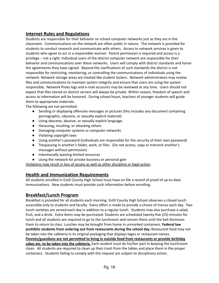# <span id="page-17-0"></span>**Internet Rules and Regulations**

Students are responsible for their behavior on school computer networks just as they are in the classroom. Communications on the network are often public in nature. The network is provided for students to conduct research and communicate with others. Access to network services is given to students who agree to act in a responsible manner. Parent permission is required and access is a privilege – not a right. Individual users of the district computer network are responsible for their behavior and communications over these networks. Users will comply with district standards and honor the agreements they have signed. Beyond the clarifications of such standards the district is not responsible for restricting, monitoring, or controlling the communications of individuals using the network. Network storage areas are treated like student lockers. Network administrators may review files and communications to maintain system integrity and ensure that users are using the system responsibly. Network Proxy logs and e-mail accounts may be reviewed at any time. Users should not expect that files stored on district servers will always be private. Within reason, freedom of speech and access to information will be honored. During school hours, teachers of younger students will guide them to appropriate materials.

The following are not permitted:

- Sending or displaying offensive messages or pictures (this includes any document containing pornographic, obscene, or sexually explicit material)
- Using obscene, abusive, or sexually explicit language.
- Harassing, insulting, or attacking others
- Damaging computer systems or computer networks
- Violating copyright laws
- Using another's password (individuals are responsible for the security of their own password)
- Trespassing in another's folder, work, or files. (Do not access, copy or transmit another's messages without permission)
- Intentionally wasting limited resources
- Using the network for private business or personal gain

Violations may result in loss of access as well as other discipline or legal action.

#### <span id="page-17-1"></span>**Health and Immunization Requirements**

All students enrolled in Estill County High School must have on file a record of proof of up-to-date immunizations. New students must provide such information before enrolling.

#### <span id="page-17-2"></span>**Breakfast/Lunch Program**

Breakfast is provided for all students each morning. Estill County High School observes a closed lunch accessible only to students and faculty. Every effort is made to provide a choice of menus each day. Two lunch varieties are served each day in addition to a regular lunch. Students may also purchase a salad, fruit, and a drink. Extra items may be purchased. Students are scheduled twenty-five (25) minutes for lunch and all students are required to go to the lunchroom and remain there until the bell dismisses them to return to class. Lunches may be brought from home in unmarked containers. **Federal law prohibits students from ordering out from restaurants during the school day.** Restaurant food may not be taken into the cafeteria in its original packaging that displays logos or restaurant names. **Parents/guardians are not permitted to bring in outside food from restaurants or provide birthday cakes etc. to be taken into the cafeteria.** Each student must do his/her part in keeping the lunchroom clean. All students are required to clean up their trash from the tables and place them in the proper containers. Students failing to comply with this request are subject to disciplinary action.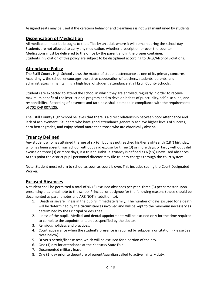Assigned seats may be used if the cafeteria behavior and cleanliness is not well maintained by students.

#### <span id="page-18-0"></span>**Dispensation of Medication**

All medication must be brought to the office by an adult where it will remain during the school day. Students are not allowed to carry any medication, whether prescription or over-the-counter. Medications must be delivered to the office by the parent and in the proper container. Students in violation of this policy are subject to be disciplined according to Drug/Alcohol violations.

# <span id="page-18-1"></span>**Attendance Policy**

The Estill County High School views the matter of student attendance as one of its primary concerns. Accordingly, the school encourages the active cooperation of teachers, students, parents, and administrators in maintaining a high level of student attendance at all Estill County Schools.

Students are expected to attend the school in which they are enrolled, regularly in order to receive maximum benefit of the instructional program and to develop habits of punctuality, self-discipline, and responsibility. Recording of absences and tardiness shall be made in compliance with the requirements of 702 KAR 007:125.

The Estill County High School believes that there is a direct relationship between poor attendance and lack of achievement. Students who have good attendance generally achieve higher levels of success, earn better grades, and enjoy school more than those who are chronically absent.

#### <span id="page-18-2"></span>**Truancy Defined**

Any student who has attained the age of six (6), but has not reached his/her eighteenth (18<sup>th</sup>) birthday, who has been absent from school without valid excuse for three (3) or more days, or tardy without valid excuse on three (3) or more days, is a truant. Habitual truancy is defined as 6 (six) unexcused absences. At this point the district pupil personnel director may file truancy charges through the court system.

Note: Student must return to school as soon as court is over. This includes seeing the Court Designated Worker.

#### <span id="page-18-3"></span>**Excused Absences**

A student shall be permitted a total of six (6) excused absences per year -three (3) per semester upon presenting a parental note to the school Principal or designee for the following reasons (these should be documented as parent notes and ARE NOT in addition to):

- 1. Death or severe illness in the pupil's immediate family. The number of days excused for a death will be determined by the circumstances involved and will be kept to the minimum necessary as determined by the Principal or designee.
- 2. Illness of the pupil. Medical and dental appointments will be excused only for the time required to complete the appointment, unless specified by the doctor.
- 3. Religious holidays and practices.
- 4. Court appearance when the student's presence is required by subpoena or citation. (Please See Note below)
- 5. Driver's permit/license test, which will be excused for a portion of the day.
- 6. One (1) day for attendance at the Kentucky State Fair.
- 7. Documented military leave.
- 8. One (1) day prior to departure of parent/guardian called to active military duty.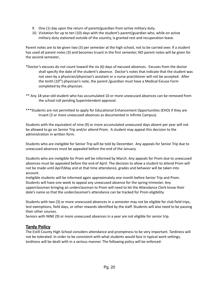- 9. One (1) day upon the return of parent/guardian from active military duty.
- 10. Visitation for up to ten (10) days with the student's parent/guardian who, while on active military duty stationed outside of the country, is granted rest and recuperation leave.

Parent notes are to be given two (3) per semester at the high school, not to be carried over. If a student has used all parent notes (3) and becomes truant in the first semester, NO parent notes will be given for the second semester.

- \*Doctor's excuses do not count toward the six (6) days of excused absences. Excuses from the doctor shall specify the date of the student's absence. Doctor's notes that indicate that the student was not seen by a physician/physician's assistant or a nurse practitioner will not be accepted. After the tenth (10<sup>th</sup>) physician's note, the parent /guardian must have a Medical Excuse Form completed by the physician.
- \*\* Any 18-year-old student who has accumulated 10 or more unexcused absences can be removed from the school roll pending Superintendent approval.
- \*\*\*Students are not permitted to apply for Educational Enhancement Opportunities (EHO) if they are truant (3 or more unexcused absences as documented in Infinite Campus).

Students with the equivalent of nine (9) or more accumulated unexcused days absent per year will not be allowed to go on Senior Trip and/or attend Prom. A student may appeal this decision to the administration in written form.

Students who are ineligible for Senior Trip will be told by December. Any appeals for Senior Trip due to unexcused absences must be appealed before the end of the January.

Students who are ineligible for Prom will be informed by March. Any appeals for Prom due to unexcused absences must be appealed before the end of April. The decision to allow a student to attend Prom will not be made until April\May and at that time attendance, grades and behavior will be taken into account.

Ineligible students will be informed again approximately one month before Senior Trip and Prom. Students will have one week to appeal any unexcused absence for the spring trimester. Any upperclassman bringing an underclassman to Prom will need to let the Attendance Clerk know their date's name so that the underclassmen's attendance can be tracked for Prom eligibility.

Students with two (3) or more unexcused absences in a semester may not be eligible for club field trips, test exemptions, field days, or other rewards identified by the staff. Students will also need to be passing their other courses.

Seniors with NINE (9) or more unexcused absences in a year are not eligible for senior trip.

#### <span id="page-19-0"></span>**Tardy Policy**

The Estill County High School considers attendance and promptness to be very important. Tardiness will not be tolerated. In order to be consistent with what students would face in typical work settings, tardiness will be dealt with in a serious manner. The following policy will be enforced: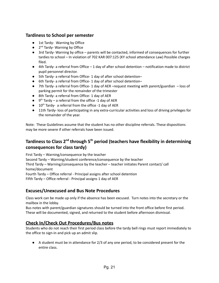#### <span id="page-20-0"></span>**Tardiness to School per semester**

- 1st Tardy- Warning by Office
- 2<sup>nd</sup> Tardy- Warning by Office
- 3rd Tardy- Warning by office parents will be contacted, informed of consequences for further tardies to school – In violation of 702 KAR 007:125 (KY school attendance Law) Possible charges filed.
- 4th Tardy- a referral from Office 1 day of after school detention notification made to district pupil personnel director.
- 5th Tardy- a referral from Office- 1 day of after school detention-
- 6th Tardy- a referral from Office- 1 day of after school detention-
- 7th Tardy- a referral from Office- 1 day of AER –request meeting with parent/guardian loss of parking permit for the remainder of the trimester
- 8th Tardy- a referral from Office- 1 day of AER
- $\bullet$  9<sup>th</sup> Tardy a referral from the office -1 day of AER
- $\bullet$  10<sup>th</sup> Tardy- a referral from the office -1 day of AER
- 11th Tardy- loss of participating in any extra-curricular activities and loss of driving privileges for the remainder of the year.

Note: These Guidelines assume that the student has no other discipline referrals. These dispositions may be more severe if other referrals have been issued.

# <span id="page-20-1"></span>**Tardiness to Class 2<sup>nd</sup> through 5<sup>th</sup> period (teachers have flexibility in determining consequences for class tardy)**

First Tardy – Warning/consequence by the teacher Second Tardy – Warning/student conference/consequence by the teacher Third Tardy – Warning/consequence by the teacher – teacher initiates Parent contact/ call home/document Fourth Tardy – Office referral - Principal assigns after school detention Fifth Tardy – Office referral - Principal assigns 1 day of AER

# <span id="page-20-2"></span>**Excuses/Unexcused and Bus Note Procedures**

Class work can be made up only if the absence has been excused. Turn notes into the secretary or the mailbox in the lobby.

Bus notes with parent/guardian signatures should be turned into the front office before first period. These will be documented, signed, and returned to the student before afternoon dismissal.

# <span id="page-20-3"></span>**Check In/Check Out Procedures/Bus notes**

Students who do not reach their first period class before the tardy bell rings must report immediately to the office to sign-in and pick up an admit slip.

● A student must be in attendance for 2/3 of any one period, to be considered present for the entire class.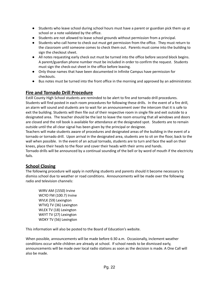- Students who leave school during school hours must have a parent or guardian pick them up at school or a note validated by the office.
- Students are not allowed to leave school grounds without permission from a principal.
- Students who call home to check out must get permission from the office. They must return to the classroom until someone comes to check them out. Parents must come into the building to sign the checkout sheet.
- All notes requesting early check out must be turned into the office before second block begins. A parent/guardian phone number must be included in order to confirm the request. Students must sign the check-out sheet in the office before leaving.
- Only those names that have been documented in Infinite Campus have permission for checkouts.
- Bus notes must be turned into the front office in the morning and approved by an administrator.

# <span id="page-21-0"></span>**Fire and Tornado Drill Procedure**

Estill County High School students are reminded to be alert to fire and tornado drill procedures. Students will find posted in each room procedures for following these drills. In the event of a fire drill, an alarm will sound and students are to wait for an announcement over the intercom that it is safe to exit the building. Students will then file out of their respective room in single file and exit outside to a designated area. The teacher should be the last to leave the room ensuring that all windows and doors are closed and the roll book is available for attendance at the designated spot. Students are to remain outside until the all clear signal has been given by the principal or designee.

Teachers will make students aware of procedures and designated areas of the building in the event of a tornado or tornado drill. Upon arrival in the designated area, students are to sit on the floor, back to the wall when possible. In the event of an actual tornado, students are to turn and face the wall on their knees, place their heads to the floor and cover their heads with their arms and hands.

Tornado drills will be announced by a continual sounding of the bell or by word of mouth if the electricity fails.

#### <span id="page-21-1"></span>**School Closing**

The following procedure will apply in notifying students and parents should it become necessary to dismiss school due to weather or road conditions. Announcements will be made over the following radio and television channels:

WIRV AM (1550) Irvine WCYO FM (100.7) Irvine WVLK (59) Lexington WTVQ TV (36) Lexington WLEX TV (18) Lexington WKYT TV (27) Lexington WDKY TV (56) Lexington

This information will also be posted to the Board of Education's website.

When possible, announcements will be made before 6:30 a.m. Occasionally, inclement weather conditions occur while children are already at school. If school needs to be dismissed early, announcements will be made over local radio stations as soon as the decision is made. A One Call will also be made.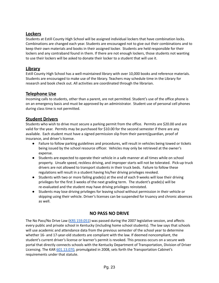# <span id="page-22-0"></span>**Lockers**

Students at Estill County High School will be assigned individual lockers that have combination locks. Combinations are changed each year. Students are encouraged not to give out their combinations and to keep their own materials and books in their assigned locker. Students are held responsible for their lockers and any contraband found in them. If there are not enough lockers, those students not wanting to use their lockers will be asked to donate their locker to a student that will use it.

# <span id="page-22-1"></span>**Library**

Estill County High School has a well-maintained library with over 10,000 books and reference materials. Students are encouraged to make use of the library. Teachers may schedule time in the Library for research and book check out. All activities are coordinated through the librarian.

# <span id="page-22-2"></span>**Telephone Use**

Incoming calls to students, other than a parent, are not permitted. Student's use of the office phone is on an emergency basis and must be approved by an administrator. Student use of personal cell phones during class time is not permitted.

# <span id="page-22-3"></span>**Student Drivers**

Students who wish to drive must secure a parking permit from the office. Permits are \$20.00 and are valid for the year. Permits may be purchased for \$10.00 for the second semester if there are any available. Each student must have a signed permission slip from their parent/guardian, proof of insurance, and driver's license.

- Failure to follow parking guidelines and procedures, will result in vehicles being towed or tickets being issued by the school resource officer. Vehicles may only be retrieved at the owner's expense.
- Students are expected to operate their vehicle in a safe manner at all times while on school property. Unsafe speed, reckless driving, and improper starts will not be tolerated. Pick-up truck drivers are not allowed to transport students in their truck beds. Failure to follow these regulations will result in a student having his/her driving privileges revoked.
- Students with two or more failing grade(s) at the end of each 9 weeks will lose their driving privileges for the first 3 weeks of the next grading term. The student's grade(s) will be re-evaluated and the student may have driving privileges reinstated.
- Students may lose driving privileges for leaving school without permission in their vehicle or skipping using their vehicle. Driver's licenses can be suspended for truancy and chronic absences as well.

# **NO PASS NO DRIVE**

<span id="page-22-4"></span>The No Pass/No Drive Law (KRS [159.051](https://apps.legislature.ky.gov/law/statutes/statute.aspx?id=3633)) was passed during the 2007 legislative session, and affects every public and private school in Kentucky (including home school students). The law says that schools will use academic and attendance data from the previous semester of the school year to determine whether 16- and 17-year-old students are compliant with the law. If deemed noncompliant, the student's current driver's license or learner's permit is revoked. This process occurs on a secure web portal that directly connects schools with the Kentucky Department of Transportation, Division of Driver Licensing. The KAR [601.13.070,](https://apps.legislature.ky.gov/law/kar/601/013/070.pdf) promulgated in 2008, sets forth the Transportation Cabinet's requirements under that statute.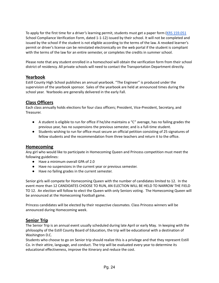To apply for the first time for a driver's learning permit, students must get a paper form (KRS [159.051](https://apps.legislature.ky.gov/law/statutes/statute.aspx?id=3633)) School Compliance Verification Form, dated 1-1-12) issued by their school. It will not be completed and issued by the school if the student is not eligible according to the terms of the law. A revoked learner's permit or driver's license can be reinstated electronically on the web portal if the student is compliant with the terms of the law for an entire semester, or completes the credits in summer school.

Please note that any student enrolled in a homeschool will obtain the verification form from their school district of residency. All private schools will need to contact the Transportation Department directly.

#### <span id="page-23-0"></span>**Yearbook**

Estill County High School publishes an annual yearbook. "The Engineer" is produced under the supervision of the yearbook sponsor. Sales of the yearbook are held at announced times during the school year. Yearbooks are generally delivered in the early Fall.

#### <span id="page-23-1"></span>**Class Officers**

Each class annually holds elections for four class officers; President, Vice-President, Secretary, and Treasurer.

- A student is eligible to run for office if he/she maintains a "C" average, has no failing grades the previous year, has no suspensions the previous semester, and is a full-time student.
- Students wishing to run for office must secure an official petition consisting of 25 signatures of fellow students and the recommendation from three teachers and return it to the office.

#### <span id="page-23-2"></span>**Homecoming**

Any girl who would like to participate in Homecoming Queen and Princess competition must meet the following guidelines:

- Have a minimum overall GPA of 2.0
- Have no suspensions in the current year or previous semester.
- Have no failing grades in the current semester.

Senior girls will compete for Homecoming Queen with the number of candidates limited to 12. In the event more than 12 CANDIDATES CHOOSE TO RUN, AN ELECTION WILL BE HELD TO NARROW THE FIELD TO 12. An election will follow to elect the Queen with only Seniors voting. The Homecoming Queen will be announced at the Homecoming Football game.

Princess candidates will be elected by their respective classmates. Class Princess winners will be announced during Homecoming week.

#### <span id="page-23-3"></span>**Senior Trip**

The Senior Trip is an annual event usually scheduled during late April or early May. In keeping with the philosophy of the Estill County Board of Education, the trip will be educational with a destination of Washington D.C.

Students who choose to go on Senior trip should realize this is a privilege and that they represent Estill Co. in their attire, language, and conduct. The trip will be evaluated every year to determine its educational effectiveness, improve the itinerary and reduce the cost.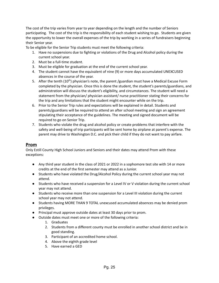The cost of the trip varies from year to year depending on the length and the number of Seniors participating. The cost of the trip is the responsibility of each student wishing to go. Students are given the opportunity to lower the overall expenses of the trip by working in a series of fundraisers beginning their Senior year.

To be eligible for the Senior Trip students must meet the following criteria:

- 1. Have no suspensions due to fighting or violations of the Drug and Alcohol policy during the current school year.
- 2. Must be a full-time student.
- 3. Must be eligible for graduation at the end of the current school year.
- 4. The student cannot have the equivalent of nine (9) or more days accumulated UNEXCUSED absences in the course of the year.
- 5. After the tenth  $(10<sup>th</sup>)$  physician's note, the parent /guardian must have a Medical Excuse Form completed by the physician. Once this is done the student, the student's parents/guardians, and administration will discuss the student's eligibility, and circumstances. The student will need a statement from the physician/ physician assistant/ nurse practitioner stating their concerns for the trip and any limitations that the student might encounter while on the trip.
- 6. Prior to the Senior Trip rules and expectations will be explained in detail. Students and parents/guardians will be required to attend an after school meeting and sign an agreement stipulating their acceptance of the guidelines. The meeting and signed document will be required to go on Senior Trip.
- 7. Students who violate the drug and alcohol policy or create problems that interfere with the safety and well-being of trip participants will be sent home by airplane at parent's expense. The parent may drive to Washington D.C. and pick their child if they do not want to pay airfare.

#### <span id="page-24-0"></span>**Prom**

Only Estill County High School Juniors and Seniors and their dates may attend Prom with these exceptions:

- Any third year student in the class of 2021 or 2022 in a sophomore test site with 14 or more credits at the end of the first semester may attend as a Junior.
- Students who have violated the Drug/Alcohol Policy during the current school year may not attend.
- Students who have received a suspension for a Level IV or V violation during the current school year may not attend.
- Students who receive more than one suspension for a Level III violation during the current school year may not attend.
- Students having MORE THAN 9 TOTAL unexcused accumulated absences may be denied prom privileges.
- Principal must approve outside dates at least 30 days prior to prom.
- Outside dates must meet one or more of the following criteria:
	- 1. Graduates
	- 2. Students from a different county must be enrolled in another school district and be in good standing.
	- 3. Participant of an accredited home school.
	- 4. Above the eighth grade level
	- 5. Have earned a GED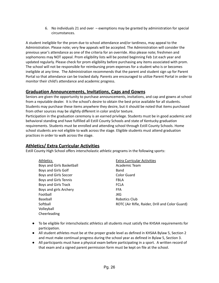6. No individuals 21 and over – exemptions may be granted by administration for special circumstances.

A student ineligible for the prom due to school attendance and/or tardiness, may appeal to the Administration. Please note; very few appeals will be accepted. The Administration will consider the previous year's attendance as one of the criteria for an override. Also please note; freshmen and sophomores may NOT appeal. Prom eligibility lists will be posted beginning Feb 1st each year and updated regularly. Please check for prom eligibility before purchasing any items associated with prom. The school will not be responsible for reimbursing prom expenses for a student who is or becomes ineligible at any time. The Administration recommends that the parent and student sign up for Parent Portal so that attendance can be tracked daily. Parents are encouraged to utilize Parent Portal in order to monitor their child's attendance and academic progress.

#### <span id="page-25-0"></span>**Graduation Announcements, Invitations, Caps and Gowns**

Seniors are given the opportunity to purchase announcements, invitations, and cap and gowns at school from a reputable dealer. It is the school's desire to obtain the best price available for all students. Students may purchase these items anywhere they desire, but it should be noted that items purchased from other sources may be slightly different in color and/or texture.

Participation in the graduation ceremony is an earned privilege. Students must be in good academic and behavioral standing and have fulfilled all Estill County Schools and state of Kentucky graduation requirements. Students must be enrolled and attending school through Estill County Schools. Home school students are not eligible to walk across the stage. Eligible students must attend graduation practices in order to walk across the stage.

# <span id="page-25-1"></span>**Athletics/ Extra Curricular Activities**

Estill County High School offers interscholastic athletic programs in the following sports:

| Athletics                 | <b>Extra Curricular Activities</b>              |
|---------------------------|-------------------------------------------------|
| Boys and Girls Basketball | Academic Team                                   |
| Boys and Girls Golf       | Band                                            |
| Boys and Girls Soccer     | Color Guard                                     |
| Boys and Girls Tennis     | <b>FBLA</b>                                     |
| Boys and Girls Track      | <b>FCLA</b>                                     |
| Boys and girls Archery    | <b>FFA</b>                                      |
| Football                  | JKG                                             |
| Baseball                  | Robotics Club                                   |
| Softball                  | ROTC (Air Rifle, Raider, Drill and Color Guard) |
| Volleyball                |                                                 |
| Cheerleading              |                                                 |

- To be eligible for interscholastic athletics all students must satisfy the KHSAA requirements for participation.
- All student athletes must be at the proper grade level as defined in KHSAA Bylaw 5, Section 2 and must make continual progress during the school year as defined in Bylaw 5, Section 3.
- All participants must have a physical exam before participating in a sport. A written record of that exam and a signed parent permission form must be kept on file at the school.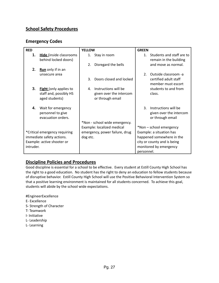# <span id="page-26-1"></span><span id="page-26-0"></span>**School Safety Procedures**

#### **Emergency Codes**

| <b>RED</b> |                                | <b>YELLOW</b> |                                | <b>GREEN</b>                |                           |
|------------|--------------------------------|---------------|--------------------------------|-----------------------------|---------------------------|
| 1.         | <b>Hide</b> (inside classrooms | 1.            | Stay in room                   | $1_{-}$                     | Students and staff are to |
|            | behind locked doors)           |               |                                |                             | remain in the building    |
|            |                                | 2.            | Disregard the bells            |                             | and move as normal.       |
| 2.         | <b>Run</b> only if in an       |               |                                |                             |                           |
|            | unsecure area                  |               |                                | 2 <sup>1</sup>              | Outside classroom -a      |
|            |                                | 3.            | Doors closed and locked        |                             | certified adult staff     |
|            |                                |               |                                |                             | member must escort        |
| 3.         | <b>Fight</b> (only applies to  | $\mathbf{A}$  | Instructions will be           |                             | students to and from      |
|            | staff and, possibly HS         |               | given over the intercom        |                             | class.                    |
|            | aged students)                 |               | or through email               |                             |                           |
|            |                                |               |                                |                             |                           |
| 4.         | Wait for emergency             |               |                                | $\mathbf{R}$                | Instructions will be      |
|            | personnel to give              |               |                                |                             | given over the intercom   |
|            | evacuation orders.             |               |                                |                             | or through email          |
|            |                                |               | *Non - school wide emergency.  |                             |                           |
|            |                                |               | Example: localized medical     |                             | *Non - school emergency   |
|            | *Critical emergency requiring  |               | emergency, power failure, drug | Example: a situation has    |                           |
|            | immediate safety actions.      | dog etc.      |                                | happened somewhere in the   |                           |
|            | Example: active shooter or     |               |                                | city or county and is being |                           |
| intruder.  |                                |               |                                |                             | monitored by emergency    |
|            |                                |               |                                | personnel.                  |                           |

# <span id="page-26-2"></span>**Discipline Policies and Procedures**

Good discipline is essential for a school to be effective. Every student at Estill County High School has the right to a good education. No student has the right to deny an education to fellow students because of disruptive behavior. Estill County High School will use the Positive Behavioral Intervention System so that a positive learning environment is maintained for all students concerned. To achieve this goal, students will abide by the school wide expectations.

#EngineerExcellence

- E- Excellence
- S- Strength of Character
- T- Teamwork
- I- Initiative
- L- Leadership
- L- Learning